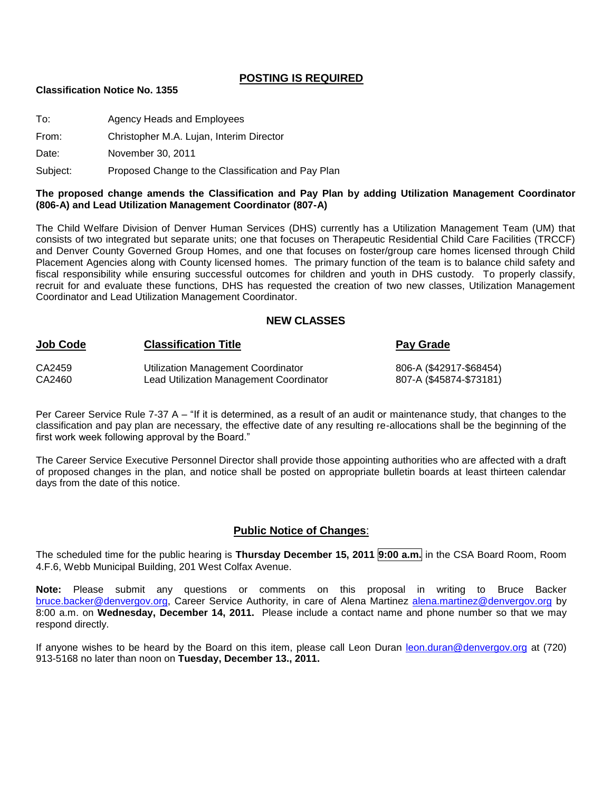### **POSTING IS REQUIRED**

#### **Classification Notice No. 1355**

To: Agency Heads and Employees

From: Christopher M.A. Lujan, Interim Director

Date: November 30, 2011

Subject: Proposed Change to the Classification and Pay Plan

#### **The proposed change amends the Classification and Pay Plan by adding Utilization Management Coordinator (806-A) and Lead Utilization Management Coordinator (807-A)**

The Child Welfare Division of Denver Human Services (DHS) currently has a Utilization Management Team (UM) that consists of two integrated but separate units; one that focuses on Therapeutic Residential Child Care Facilities (TRCCF) and Denver County Governed Group Homes, and one that focuses on foster/group care homes licensed through Child Placement Agencies along with County licensed homes. The primary function of the team is to balance child safety and fiscal responsibility while ensuring successful outcomes for children and youth in DHS custody. To properly classify, recruit for and evaluate these functions, DHS has requested the creation of two new classes, Utilization Management Coordinator and Lead Utilization Management Coordinator.

#### **NEW CLASSES**

| <b>Job Code</b> | <b>Classification Title</b>             | Pay Grade               |
|-----------------|-----------------------------------------|-------------------------|
| CA2459          | Utilization Management Coordinator      | 806-A (\$42917-\$68454) |
| CA2460          | Lead Utilization Management Coordinator | 807-A (\$45874-\$73181) |

Per Career Service Rule 7-37 A – "If it is determined, as a result of an audit or maintenance study, that changes to the classification and pay plan are necessary, the effective date of any resulting re-allocations shall be the beginning of the first work week following approval by the Board."

The Career Service Executive Personnel Director shall provide those appointing authorities who are affected with a draft of proposed changes in the plan, and notice shall be posted on appropriate bulletin boards at least thirteen calendar days from the date of this notice.

#### **Public Notice of Changes**:

The scheduled time for the public hearing is **Thursday December 15, 2011 9:00 a.m.** in the CSA Board Room, Room 4.F.6, Webb Municipal Building, 201 West Colfax Avenue.

**Note:** Please submit any questions or comments on this proposal in writing to Bruce Backer [bruce.backer@denvergov.org,](mailto:bruce.backer@denvergov.org) Career Service Authority, in care of Alena Martinez [alena.martinez@denvergov.org](mailto:alena.martinez@denvergov.org) by 8:00 a.m. on **Wednesday, December 14, 2011.** Please include a contact name and phone number so that we may respond directly.

If anyone wishes to be heard by the Board on this item, please call Leon Duran [leon.duran@denvergov.org](mailto:leon.duran@denvergov.org) at (720) 913-5168 no later than noon on **Tuesday, December 13., 2011.**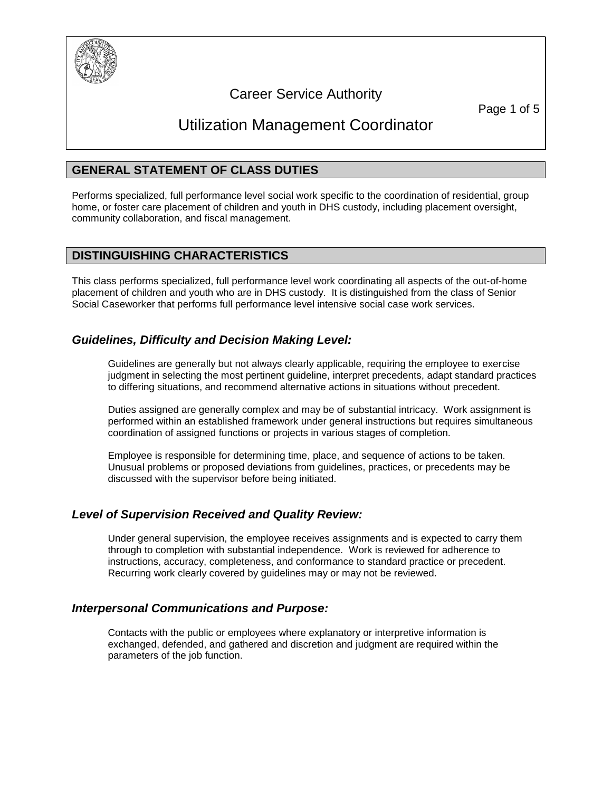

# Career Service Authority

Page 1 of 5

# Utilization Management Coordinator

# **GENERAL STATEMENT OF CLASS DUTIES**

Performs specialized, full performance level social work specific to the coordination of residential, group home, or foster care placement of children and youth in DHS custody, including placement oversight, community collaboration, and fiscal management.

# **DISTINGUISHING CHARACTERISTICS**

This class performs specialized, full performance level work coordinating all aspects of the out-of-home placement of children and youth who are in DHS custody. It is distinguished from the class of Senior Social Caseworker that performs full performance level intensive social case work services.

# *Guidelines, Difficulty and Decision Making Level:*

Guidelines are generally but not always clearly applicable, requiring the employee to exercise judgment in selecting the most pertinent guideline, interpret precedents, adapt standard practices to differing situations, and recommend alternative actions in situations without precedent.

Duties assigned are generally complex and may be of substantial intricacy. Work assignment is performed within an established framework under general instructions but requires simultaneous coordination of assigned functions or projects in various stages of completion.

Employee is responsible for determining time, place, and sequence of actions to be taken. Unusual problems or proposed deviations from guidelines, practices, or precedents may be discussed with the supervisor before being initiated.

# *Level of Supervision Received and Quality Review:*

Under general supervision, the employee receives assignments and is expected to carry them through to completion with substantial independence. Work is reviewed for adherence to instructions, accuracy, completeness, and conformance to standard practice or precedent. Recurring work clearly covered by guidelines may or may not be reviewed.

# *Interpersonal Communications and Purpose:*

Contacts with the public or employees where explanatory or interpretive information is exchanged, defended, and gathered and discretion and judgment are required within the parameters of the job function.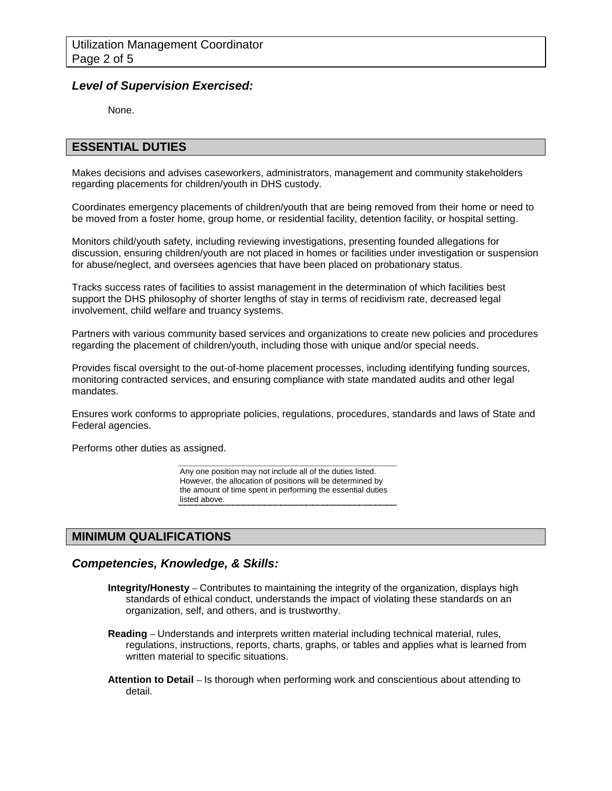## *Level of Supervision Exercised:*

None.

### **ESSENTIAL DUTIES**

Makes decisions and advises caseworkers, administrators, management and community stakeholders regarding placements for children/youth in DHS custody.

Coordinates emergency placements of children/youth that are being removed from their home or need to be moved from a foster home, group home, or residential facility, detention facility, or hospital setting.

Monitors child/youth safety, including reviewing investigations, presenting founded allegations for discussion, ensuring children/youth are not placed in homes or facilities under investigation or suspension for abuse/neglect, and oversees agencies that have been placed on probationary status.

Tracks success rates of facilities to assist management in the determination of which facilities best support the DHS philosophy of shorter lengths of stay in terms of recidivism rate, decreased legal involvement, child welfare and truancy systems.

Partners with various community based services and organizations to create new policies and procedures regarding the placement of children/youth, including those with unique and/or special needs.

Provides fiscal oversight to the out-of-home placement processes, including identifying funding sources, monitoring contracted services, and ensuring compliance with state mandated audits and other legal mandates.

Ensures work conforms to appropriate policies, regulations, procedures, standards and laws of State and Federal agencies.

Performs other duties as assigned.

Any one position may not include all of the duties listed. However, the allocation of positions will be determined by the amount of time spent in performing the essential duties listed above.

# **MINIMUM QUALIFICATIONS**

#### *Competencies, Knowledge, & Skills:*

- **Integrity/Honesty –** Contributes to maintaining the integrity of the organization, displays high standards of ethical conduct, understands the impact of violating these standards on an organization, self, and others, and is trustworthy.
- **Reading –** Understands and interprets written material including technical material, rules, regulations, instructions, reports, charts, graphs, or tables and applies what is learned from written material to specific situations.
- **Attention to Detail –** Is thorough when performing work and conscientious about attending to detail.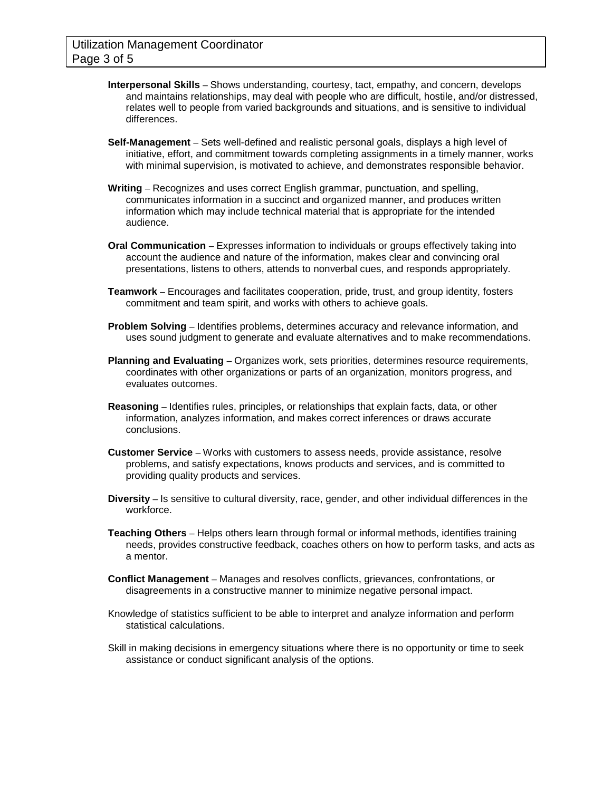- **Interpersonal Skills –** Shows understanding, courtesy, tact, empathy, and concern, develops and maintains relationships, may deal with people who are difficult, hostile, and/or distressed, relates well to people from varied backgrounds and situations, and is sensitive to individual differences.
- **Self-Management –** Sets well-defined and realistic personal goals, displays a high level of initiative, effort, and commitment towards completing assignments in a timely manner, works with minimal supervision, is motivated to achieve, and demonstrates responsible behavior.
- **Writing –** Recognizes and uses correct English grammar, punctuation, and spelling, communicates information in a succinct and organized manner, and produces written information which may include technical material that is appropriate for the intended audience.
- **Oral Communication –** Expresses information to individuals or groups effectively taking into account the audience and nature of the information, makes clear and convincing oral presentations, listens to others, attends to nonverbal cues, and responds appropriately.
- **Teamwork –** Encourages and facilitates cooperation, pride, trust, and group identity, fosters commitment and team spirit, and works with others to achieve goals.
- **Problem Solving –** Identifies problems, determines accuracy and relevance information, and uses sound judgment to generate and evaluate alternatives and to make recommendations.
- **Planning and Evaluating –** Organizes work, sets priorities, determines resource requirements, coordinates with other organizations or parts of an organization, monitors progress, and evaluates outcomes.
- **Reasoning –** Identifies rules, principles, or relationships that explain facts, data, or other information, analyzes information, and makes correct inferences or draws accurate conclusions.
- **Customer Service –** Works with customers to assess needs, provide assistance, resolve problems, and satisfy expectations, knows products and services, and is committed to providing quality products and services.
- **Diversity –** Is sensitive to cultural diversity, race, gender, and other individual differences in the workforce.
- **Teaching Others –** Helps others learn through formal or informal methods, identifies training needs, provides constructive feedback, coaches others on how to perform tasks, and acts as a mentor.
- **Conflict Management –** Manages and resolves conflicts, grievances, confrontations, or disagreements in a constructive manner to minimize negative personal impact.
- Knowledge of statistics sufficient to be able to interpret and analyze information and perform statistical calculations.
- Skill in making decisions in emergency situations where there is no opportunity or time to seek assistance or conduct significant analysis of the options.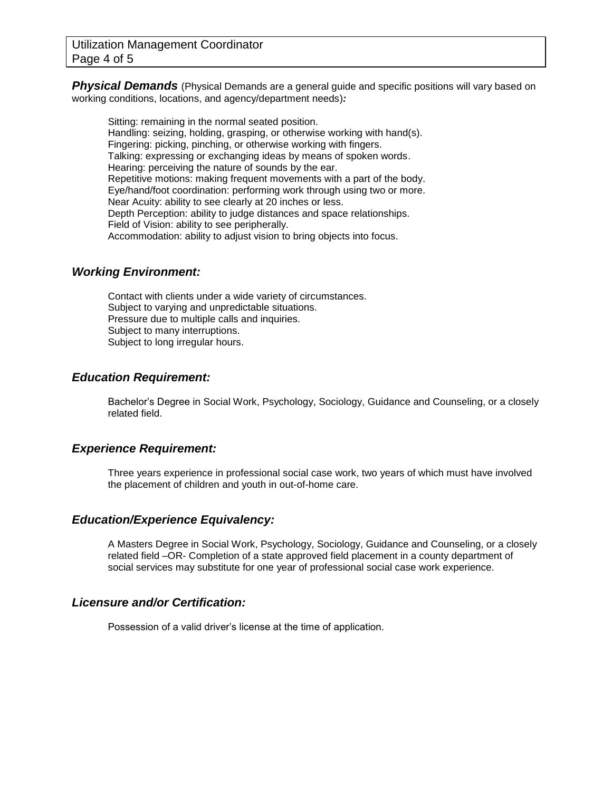**Physical Demands** (Physical Demands are a general guide and specific positions will vary based on working conditions, locations, and agency/department needs)*:*

Sitting: remaining in the normal seated position. Handling: seizing, holding, grasping, or otherwise working with hand(s). Fingering: picking, pinching, or otherwise working with fingers. Talking: expressing or exchanging ideas by means of spoken words. Hearing: perceiving the nature of sounds by the ear. Repetitive motions: making frequent movements with a part of the body. Eye/hand/foot coordination: performing work through using two or more. Near Acuity: ability to see clearly at 20 inches or less. Depth Perception: ability to judge distances and space relationships. Field of Vision: ability to see peripherally. Accommodation: ability to adjust vision to bring objects into focus.

#### *Working Environment:*

Contact with clients under a wide variety of circumstances. Subject to varying and unpredictable situations. Pressure due to multiple calls and inquiries. Subject to many interruptions. Subject to long irregular hours.

# *Education Requirement:*

Bachelor's Degree in Social Work, Psychology, Sociology, Guidance and Counseling, or a closely related field.

# *Experience Requirement:*

Three years experience in professional social case work, two years of which must have involved the placement of children and youth in out-of-home care.

#### *Education/Experience Equivalency:*

A Masters Degree in Social Work, Psychology, Sociology, Guidance and Counseling, or a closely related field –OR- Completion of a state approved field placement in a county department of social services may substitute for one year of professional social case work experience.

#### *Licensure and/or Certification:*

Possession of a valid driver's license at the time of application.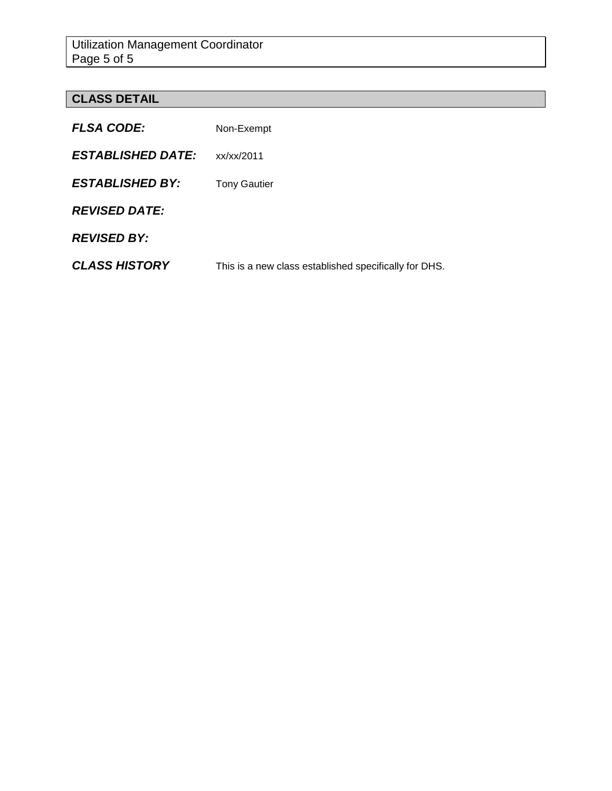# **CLASS DETAIL**

| <b>FLSA CODE:</b>        | Non-Exempt                                            |
|--------------------------|-------------------------------------------------------|
| <b>ESTABLISHED DATE:</b> | xx/xx/2011                                            |
| <b>ESTABLISHED BY:</b>   | <b>Tony Gautier</b>                                   |
| <b>REVISED DATE:</b>     |                                                       |
| <b>REVISED BY:</b>       |                                                       |
| <b>CLASS HISTORY</b>     | This is a new class established specifically for DHS. |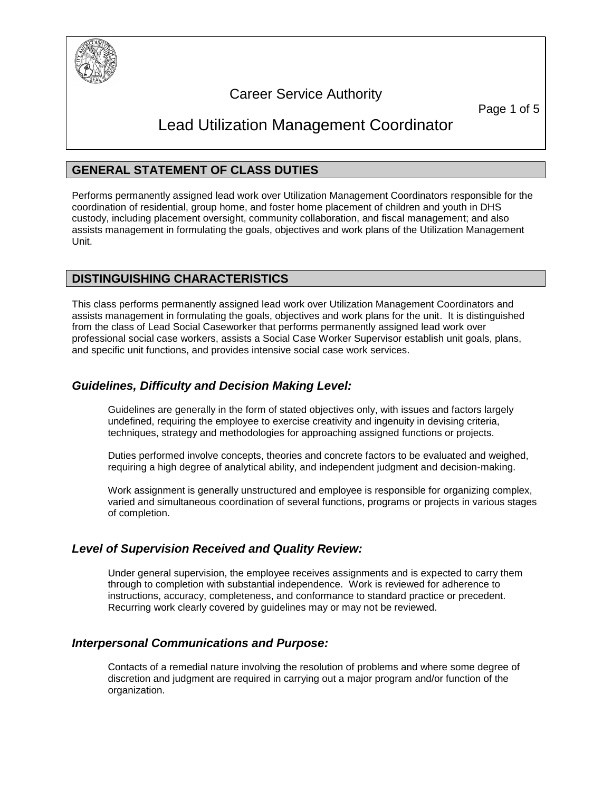

# Career Service Authority

Page 1 of 5

# Lead Utilization Management Coordinator

# **GENERAL STATEMENT OF CLASS DUTIES**

Performs permanently assigned lead work over Utilization Management Coordinators responsible for the coordination of residential, group home, and foster home placement of children and youth in DHS custody, including placement oversight, community collaboration, and fiscal management; and also assists management in formulating the goals, objectives and work plans of the Utilization Management Unit.

# **DISTINGUISHING CHARACTERISTICS**

This class performs permanently assigned lead work over Utilization Management Coordinators and assists management in formulating the goals, objectives and work plans for the unit. It is distinguished from the class of Lead Social Caseworker that performs permanently assigned lead work over professional social case workers, assists a Social Case Worker Supervisor establish unit goals, plans, and specific unit functions, and provides intensive social case work services.

# *Guidelines, Difficulty and Decision Making Level:*

Guidelines are generally in the form of stated objectives only, with issues and factors largely undefined, requiring the employee to exercise creativity and ingenuity in devising criteria, techniques, strategy and methodologies for approaching assigned functions or projects.

Duties performed involve concepts, theories and concrete factors to be evaluated and weighed, requiring a high degree of analytical ability, and independent judgment and decision-making.

Work assignment is generally unstructured and employee is responsible for organizing complex, varied and simultaneous coordination of several functions, programs or projects in various stages of completion.

# *Level of Supervision Received and Quality Review:*

Under general supervision, the employee receives assignments and is expected to carry them through to completion with substantial independence. Work is reviewed for adherence to instructions, accuracy, completeness, and conformance to standard practice or precedent. Recurring work clearly covered by guidelines may or may not be reviewed.

# *Interpersonal Communications and Purpose:*

Contacts of a remedial nature involving the resolution of problems and where some degree of discretion and judgment are required in carrying out a major program and/or function of the organization.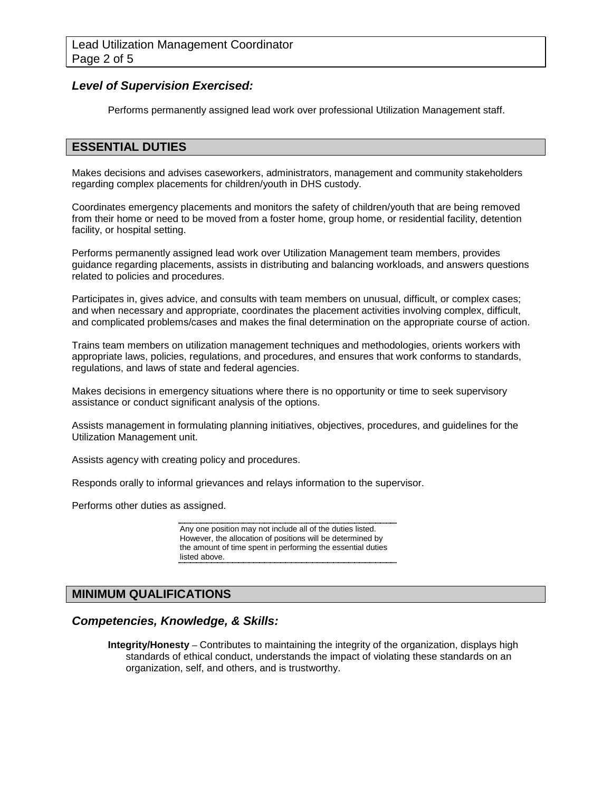## *Level of Supervision Exercised:*

Performs permanently assigned lead work over professional Utilization Management staff.

### **ESSENTIAL DUTIES**

Makes decisions and advises caseworkers, administrators, management and community stakeholders regarding complex placements for children/youth in DHS custody.

Coordinates emergency placements and monitors the safety of children/youth that are being removed from their home or need to be moved from a foster home, group home, or residential facility, detention facility, or hospital setting.

Performs permanently assigned lead work over Utilization Management team members, provides guidance regarding placements, assists in distributing and balancing workloads, and answers questions related to policies and procedures.

Participates in, gives advice, and consults with team members on unusual, difficult, or complex cases; and when necessary and appropriate, coordinates the placement activities involving complex, difficult, and complicated problems/cases and makes the final determination on the appropriate course of action.

Trains team members on utilization management techniques and methodologies, orients workers with appropriate laws, policies, regulations, and procedures, and ensures that work conforms to standards, regulations, and laws of state and federal agencies.

Makes decisions in emergency situations where there is no opportunity or time to seek supervisory assistance or conduct significant analysis of the options.

Assists management in formulating planning initiatives, objectives, procedures, and guidelines for the Utilization Management unit.

Assists agency with creating policy and procedures.

Responds orally to informal grievances and relays information to the supervisor.

Performs other duties as assigned.

Any one position may not include all of the duties listed. However, the allocation of positions will be determined by the amount of time spent in performing the essential duties listed above.

# **MINIMUM QUALIFICATIONS**

# *Competencies, Knowledge, & Skills:*

**Integrity/Honesty –** Contributes to maintaining the integrity of the organization, displays high standards of ethical conduct, understands the impact of violating these standards on an organization, self, and others, and is trustworthy.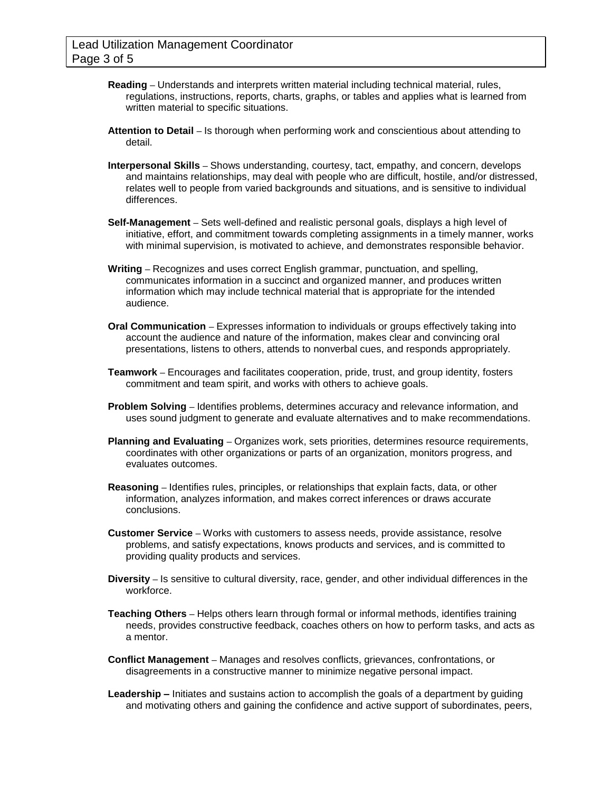- **Reading –** Understands and interprets written material including technical material, rules, regulations, instructions, reports, charts, graphs, or tables and applies what is learned from written material to specific situations.
- **Attention to Detail –** Is thorough when performing work and conscientious about attending to detail.
- **Interpersonal Skills –** Shows understanding, courtesy, tact, empathy, and concern, develops and maintains relationships, may deal with people who are difficult, hostile, and/or distressed, relates well to people from varied backgrounds and situations, and is sensitive to individual differences.
- **Self-Management –** Sets well-defined and realistic personal goals, displays a high level of initiative, effort, and commitment towards completing assignments in a timely manner, works with minimal supervision, is motivated to achieve, and demonstrates responsible behavior.
- **Writing –** Recognizes and uses correct English grammar, punctuation, and spelling, communicates information in a succinct and organized manner, and produces written information which may include technical material that is appropriate for the intended audience.
- **Oral Communication –** Expresses information to individuals or groups effectively taking into account the audience and nature of the information, makes clear and convincing oral presentations, listens to others, attends to nonverbal cues, and responds appropriately.
- **Teamwork –** Encourages and facilitates cooperation, pride, trust, and group identity, fosters commitment and team spirit, and works with others to achieve goals.
- **Problem Solving –** Identifies problems, determines accuracy and relevance information, and uses sound judgment to generate and evaluate alternatives and to make recommendations.
- **Planning and Evaluating –** Organizes work, sets priorities, determines resource requirements, coordinates with other organizations or parts of an organization, monitors progress, and evaluates outcomes.
- **Reasoning –** Identifies rules, principles, or relationships that explain facts, data, or other information, analyzes information, and makes correct inferences or draws accurate conclusions.
- **Customer Service –** Works with customers to assess needs, provide assistance, resolve problems, and satisfy expectations, knows products and services, and is committed to providing quality products and services.
- **Diversity –** Is sensitive to cultural diversity, race, gender, and other individual differences in the workforce.
- **Teaching Others –** Helps others learn through formal or informal methods, identifies training needs, provides constructive feedback, coaches others on how to perform tasks, and acts as a mentor.
- **Conflict Management –** Manages and resolves conflicts, grievances, confrontations, or disagreements in a constructive manner to minimize negative personal impact.
- **Leadership –** Initiates and sustains action to accomplish the goals of a department by guiding and motivating others and gaining the confidence and active support of subordinates, peers,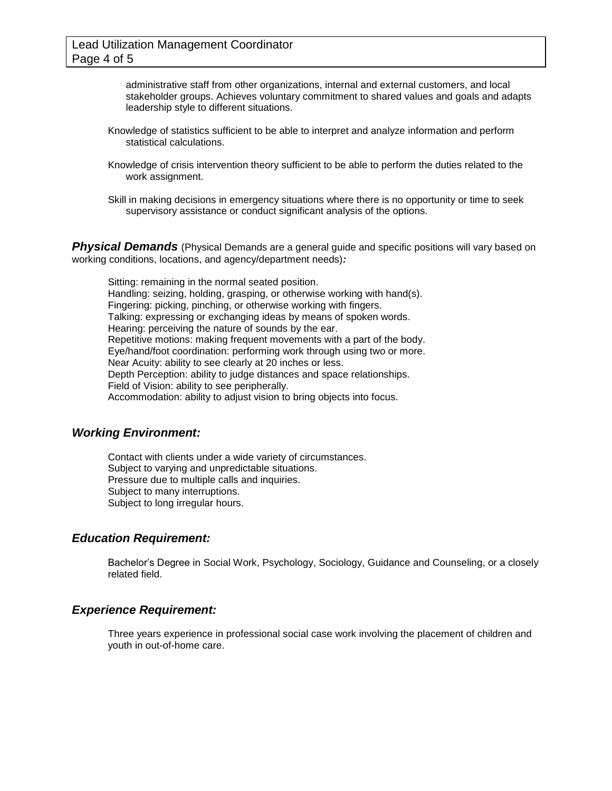administrative staff from other organizations, internal and external customers, and local stakeholder groups. Achieves voluntary commitment to shared values and goals and adapts leadership style to different situations.

- Knowledge of statistics sufficient to be able to interpret and analyze information and perform statistical calculations.
- Knowledge of crisis intervention theory sufficient to be able to perform the duties related to the work assignment.
- Skill in making decisions in emergency situations where there is no opportunity or time to seek supervisory assistance or conduct significant analysis of the options.

**Physical Demands** (Physical Demands are a general guide and specific positions will vary based on working conditions, locations, and agency/department needs)*:*

Sitting: remaining in the normal seated position. Handling: seizing, holding, grasping, or otherwise working with hand(s). Fingering: picking, pinching, or otherwise working with fingers. Talking: expressing or exchanging ideas by means of spoken words. Hearing: perceiving the nature of sounds by the ear. Repetitive motions: making frequent movements with a part of the body. Eye/hand/foot coordination: performing work through using two or more. Near Acuity: ability to see clearly at 20 inches or less. Depth Perception: ability to judge distances and space relationships. Field of Vision: ability to see peripherally. Accommodation: ability to adjust vision to bring objects into focus.

#### *Working Environment:*

Contact with clients under a wide variety of circumstances. Subject to varying and unpredictable situations. Pressure due to multiple calls and inquiries. Subject to many interruptions. Subject to long irregular hours.

#### *Education Requirement:*

Bachelor's Degree in Social Work, Psychology, Sociology, Guidance and Counseling, or a closely related field.

### *Experience Requirement:*

Three years experience in professional social case work involving the placement of children and youth in out-of-home care.